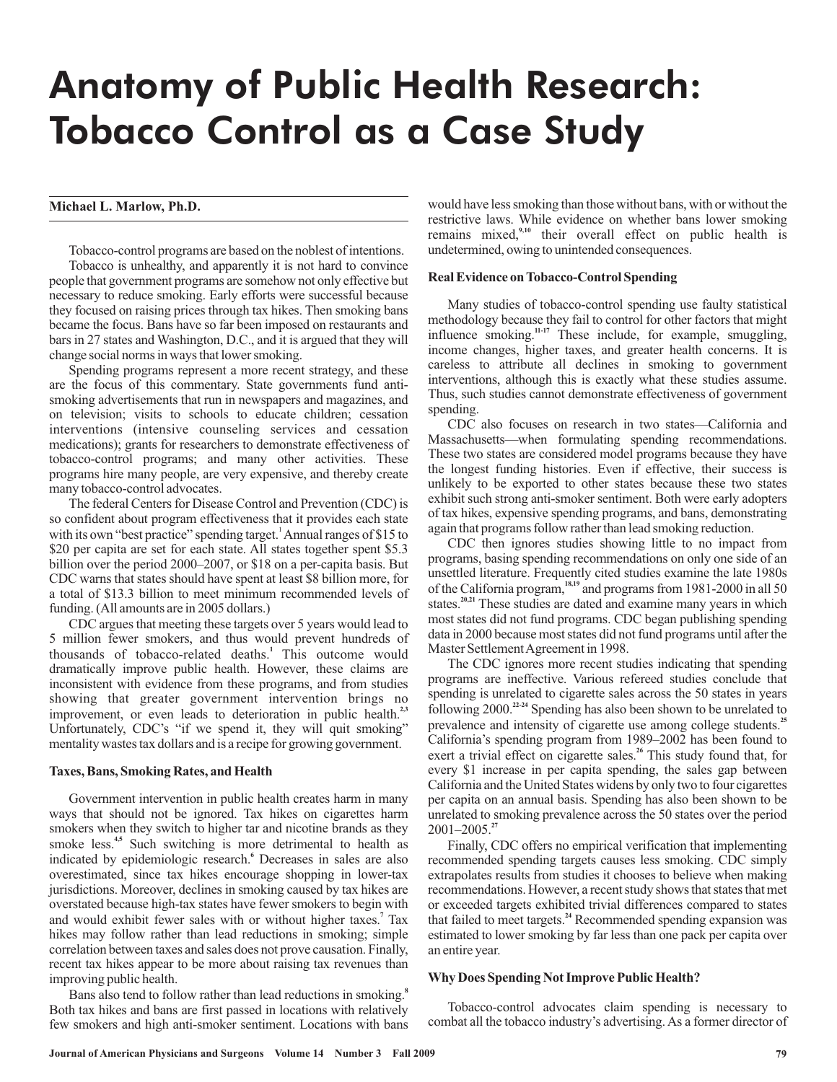# Anatomy of Public Health Research: Tobacco Control as a Case Study

# **Michael L. Marlow, Ph.D.**

Tobacco-control programs are based on the noblest of intentions. Tobacco is unhealthy, and apparently it is not hard to convince people that government programs are somehow not only effective but necessary to reduce smoking. Early efforts were successful because they focused on raising prices through tax hikes. Then smoking bans became the focus. Bans have so far been imposed on restaurants and bars in 27 states and Washington, D.C., and it is argued that they will change social norms in ways that lower smoking.

Spending programs represent a more recent strategy, and these are the focus of this commentary. State governments fund antismoking advertisements that run in newspapers and magazines, and on television; visits to schools to educate children; cessation interventions (intensive counseling services and cessation medications); grants for researchers to demonstrate effectiveness of tobacco-control programs; and many other activities. These programs hire many people, are very expensive, and thereby create many tobacco-control advocates.

The federal Centers for Disease Control and Prevention (CDC) is so confident about program effectiveness that it provides each state with its own "best practice" spending target.<sup>1</sup> Annual ranges of \$15 to \$20 per capita are set for each state. All states together spent \$5.3 billion over the period 2000–2007, or \$18 on a per-capita basis. But CDC warns that states should have spent at least \$8 billion more, for a total of \$13.3 billion to meet minimum recommended levels of funding. (All amounts are in 2005 dollars.)

CDC argues that meeting these targets over 5 years would lead to 5 million fewer smokers, and thus would prevent hundreds of thousands of tobacco-related deaths.<sup>1</sup> This outcome would dramatically improve public health. However, these claims are inconsistent with evidence from these programs, and from studies showing that greater government intervention brings no improvement, or even leads to deterioration in public health.<sup>2,3</sup> Unfortunately, CDC's "if we spend it, they will quit smoking" mentality wastes tax dollars and is a recipe for growing government.

#### **Taxes, Bans, Smoking Rates, and Health**

Government intervention in public health creates harm in many ways that should not be ignored. Tax hikes on cigarettes harm smokers when they switch to higher tar and nicotine brands as they smoke less.<sup>4,5</sup> Such switching is more detrimental to health as indicated by epidemiologic research.<sup>6</sup> Decreases in sales are also overestimated, since tax hikes encourage shopping in lower-tax jurisdictions. Moreover, declines in smoking caused by tax hikes are overstated because high-tax states have fewer smokers to begin with and would exhibit fewer sales with or without higher taxes.<sup>7</sup> Tax hikes may follow rather than lead reductions in smoking; simple correlation between taxes and sales does not prove causation. Finally, recent tax hikes appear to be more about raising tax revenues than improving public health.

Bans also tend to follow rather than lead reductions in smoking. **8** Both tax hikes and bans are first passed in locations with relatively few smokers and high anti-smoker sentiment. Locations with bans

would have less smoking than those without bans, with or without the restrictive laws. While evidence on whether bans lower smoking remains mixed,<sup>9,10</sup> their overall effect on public health is undetermined, owing to unintended consequences.

## **Real Evidence on Tobacco-Control Spending**

Many studies of tobacco-control spending use faulty statistical methodology because they fail to control for other factors that might influence smoking.<sup>11-17</sup> These include, for example, smuggling, income changes, higher taxes, and greater health concerns. It is careless to attribute all declines in smoking to government interventions, although this is exactly what these studies assume. Thus, such studies cannot demonstrate effectiveness of government spending.

CDC also focuses on research in two states—California and Massachusetts—when formulating spending recommendations. These two states are considered model programs because they have the longest funding histories. Even if effective, their success is unlikely to be exported to other states because these two states exhibit such strong anti-smoker sentiment. Both were early adopters of tax hikes, expensive spending programs, and bans, demonstrating again that programs follow rather than lead smoking reduction.

CDC then ignores studies showing little to no impact from programs, basing spending recommendations on only one side of an unsettled literature. Frequently cited studies examine the late 1980s of the California program,<sup>18,19</sup> and programs from 1981-2000 in all 50 states.<sup>20,21</sup> These studies are dated and examine many years in which most states did not fund programs. CDC began publishing spending data in 2000 because most states did not fund programs until after the Master Settlement Agreement in 1998.

The CDC ignores more recent studies indicating that spending programs are ineffective. Various refereed studies conclude that spending is unrelated to cigarette sales across the 50 states in years following 2000.<sup>22-24</sup> Spending has also been shown to be unrelated to prevalence and intensity of cigarette use among college students.<sup>25</sup> California's spending program from 1989–2002 has been found to exert a trivial effect on cigarette sales.<sup>26</sup> This study found that, for every \$1 increase in per capita spending, the sales gap between California and the United States widens by only two to four cigarettes per capita on an annual basis. Spending has also been shown to be unrelated to smoking prevalence across the 50 states over the period 2001–2005. **27**

Finally, CDC offers no empirical verification that implementing recommended spending targets causes less smoking. CDC simply extrapolates results from studies it chooses to believe when making recommendations. However, a recent study shows that states that met or exceeded targets exhibited trivial differences compared to states that failed to meet targets.<sup>24</sup> Recommended spending expansion was estimated to lower smoking by far less than one pack per capita over an entire year.

## **Why Does Spending Not Improve Public Health?**

Tobacco-control advocates claim spending is necessary to combat all the tobacco industry's advertising. As a former director of